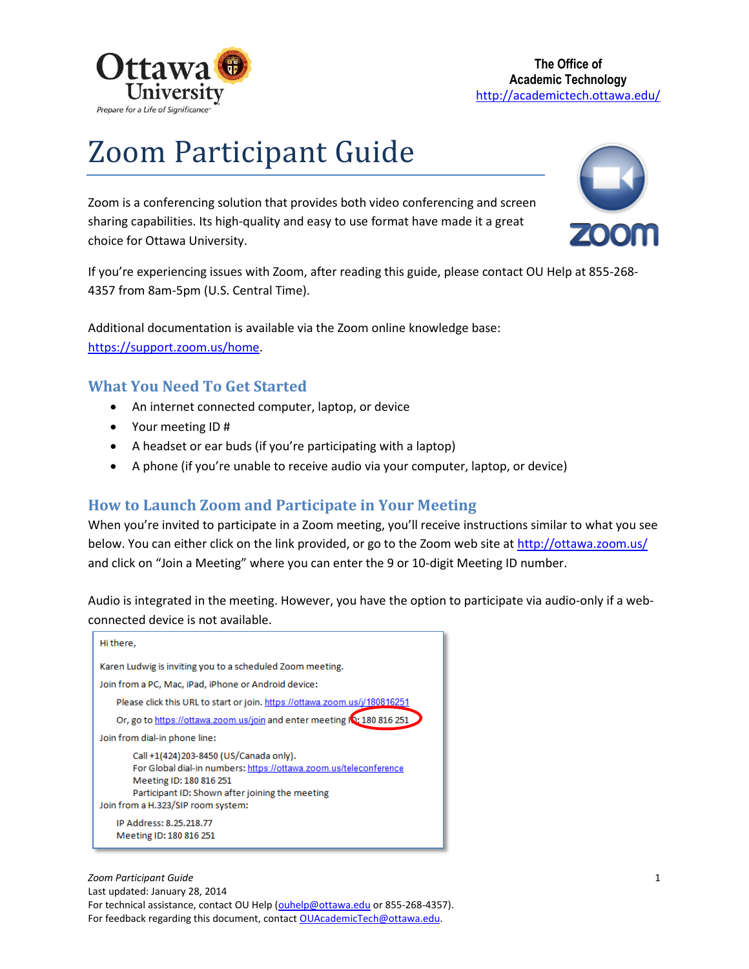

# Zoom Participant Guide

Zoom is a conferencing solution that provides both video conferencing and screen sharing capabilities. Its high-quality and easy to use format have made it a great choice for Ottawa University.



If you're experiencing issues with Zoom, after reading this guide, please contact OU Help at 855-268- 4357 from 8am-5pm (U.S. Central Time).

Additional documentation is available via the Zoom online knowledge base: [https://support.zoom.us/home.](https://support.zoom.us/home)

# **What You Need To Get Started**

- An internet connected computer, laptop, or device
- Your meeting ID #
- A headset or ear buds (if you're participating with a laptop)
- A phone (if you're unable to receive audio via your computer, laptop, or device)

### **How to Launch Zoom and Participate in Your Meeting**

When you're invited to participate in a Zoom meeting, you'll receive instructions similar to what you see below. You can either click on the link provided, or go to the Zoom web site at<http://ottawa.zoom.us/> and click on "Join a Meeting" where you can enter the 9 or 10-digit Meeting ID number.

Audio is integrated in the meeting. However, you have the option to participate via audio-only if a webconnected device is not available.

| Hi there,                                                                                                                                                                                                                       |
|---------------------------------------------------------------------------------------------------------------------------------------------------------------------------------------------------------------------------------|
| Karen Ludwig is inviting you to a scheduled Zoom meeting.                                                                                                                                                                       |
| Join from a PC, Mac, iPad, iPhone or Android device:                                                                                                                                                                            |
| Please click this URL to start or join, https://ottawa.zoom.us/j/180816251                                                                                                                                                      |
| Or, go to https://ottawa.zoom.us/join and enter meeting IQ: 180 816 251                                                                                                                                                         |
| Join from dial-in phone line:                                                                                                                                                                                                   |
| Call +1(424)203-8450 (US/Canada only).<br>For Global dial-in numbers: https://ottawa.zoom.us/teleconference<br>Meeting ID: 180 816 251<br>Participant ID: Shown after joining the meeting<br>Join from a H.323/SIP room system: |
| IP Address: 8.25.218.77<br>Meeting ID: 180 816 251                                                                                                                                                                              |

*Zoom Participant Guide* 1 Last updated: January 28, 2014 For technical assistance, contact OU Help (ouhelp@ottawa.edu or 855-268-4357). For feedback regarding this document, contact OUAcademicTech@ottawa.edu.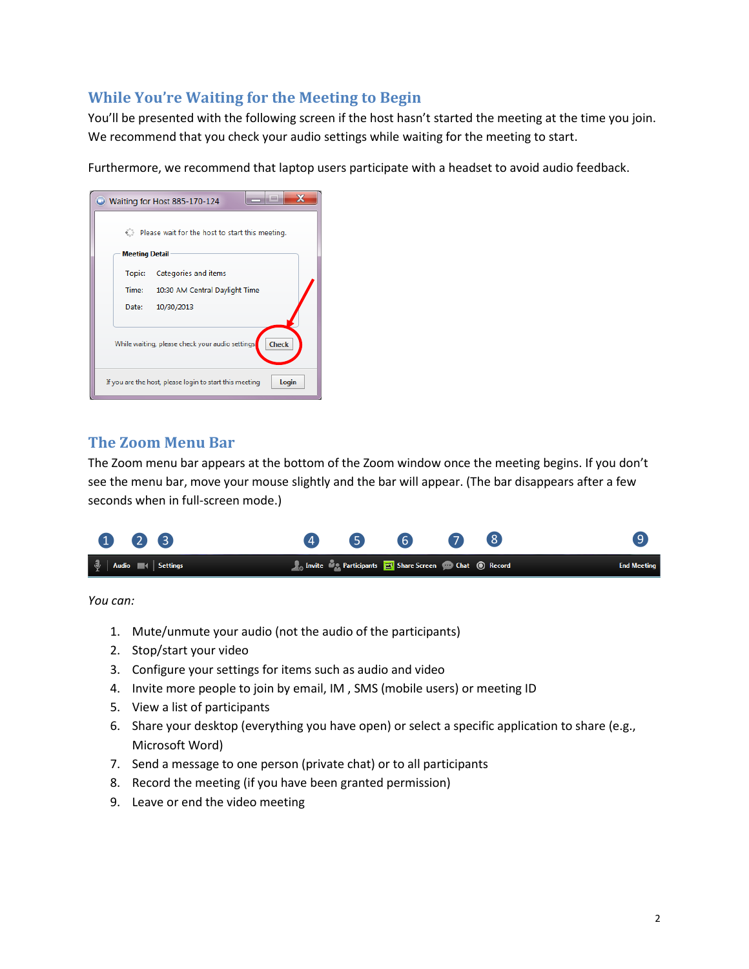# **While You're Waiting for the Meeting to Begin**

You'll be presented with the following screen if the host hasn't started the meeting at the time you join. We recommend that you check your audio settings while waiting for the meeting to start.

Furthermore, we recommend that laptop users participate with a headset to avoid audio feedback.

| Waiting for Host 885-170-124                                     |  |  |  |  |
|------------------------------------------------------------------|--|--|--|--|
| O.<br>Please wait for the host to start this meeting.            |  |  |  |  |
| <b>Meeting Detail</b>                                            |  |  |  |  |
| Categories and items<br>Topic:                                   |  |  |  |  |
| Time:<br>10:30 AM Central Daylight Time                          |  |  |  |  |
| Date:<br>10/30/2013                                              |  |  |  |  |
| <b>Check</b><br>While waiting, please check your audio settings. |  |  |  |  |
| Login<br>If you are the host, please login to start this meeting |  |  |  |  |

#### **The Zoom Menu Bar**

The Zoom menu bar appears at the bottom of the Zoom window once the meeting begins. If you don't see the menu bar, move your mouse slightly and the bar will appear. (The bar disappears after a few seconds when in full-screen mode.)



*You can:*

- 1. Mute/unmute your audio (not the audio of the participants)
- 2. Stop/start your video
- 3. Configure your settings for items such as audio and video
- 4. Invite more people to join by email, IM , SMS (mobile users) or meeting ID
- 5. View a list of participants
- 6. Share your desktop (everything you have open) or select a specific application to share (e.g., Microsoft Word)
- 7. Send a message to one person (private chat) or to all participants
- 8. Record the meeting (if you have been granted permission)
- 9. Leave or end the video meeting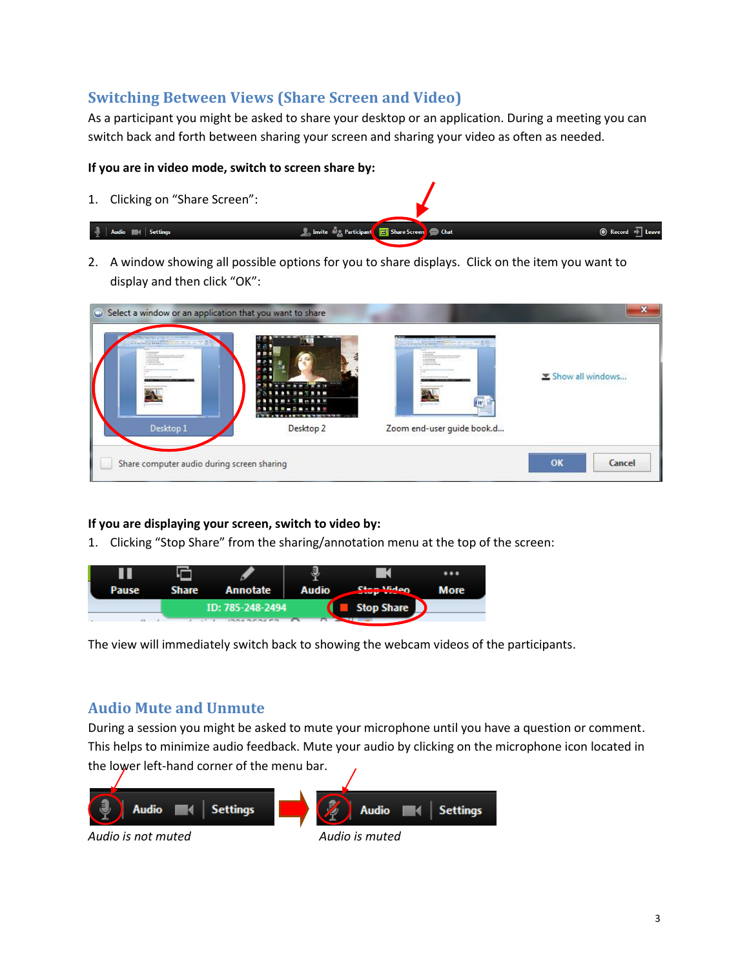# **Switching Between Views (Share Screen and Video)**

As a participant you might be asked to share your desktop or an application. During a meeting you can switch back and forth between sharing your screen and sharing your video as often as needed.

#### **If you are in video mode, switch to screen share by:**

1. Clicking on "Share Screen":

#### $\frac{3}{2}$  | Audio  $\blacksquare$  | Settings

2. A window showing all possible options for you to share displays. Click on the item you want to display and then click "OK":

**So Invite the Participant To Share Scre** 

**Chat** 

| $- - - - - - - - - - - - - -$<br>and a local decree of the to entered<br>Desktop 1 | .<br><b>Allen Brand</b><br>$9 = 7999$<br><br><b><i><b><i><u>ABRRWARKBBB</u></i></b></i></b><br>I WILL BE A REPORT WINDOW WILL<br>$2989 - 222$<br>Desktop 2 | <b>CONTRACT STREET IN THE REAL</b><br>minimize<br>College College and the College College<br>iw<br><b>Summer Street</b><br>Zoom end-user guide book.d | Show all windows |        |
|------------------------------------------------------------------------------------|------------------------------------------------------------------------------------------------------------------------------------------------------------|-------------------------------------------------------------------------------------------------------------------------------------------------------|------------------|--------|
| Share computer audio during screen sharing                                         |                                                                                                                                                            |                                                                                                                                                       | OK               | Cancel |

#### **If you are displaying your screen, switch to video by:**

1. Clicking "Stop Share" from the sharing/annotation menu at the top of the screen:



The view will immediately switch back to showing the webcam videos of the participants.

# **Audio Mute and Unmute**

During a session you might be asked to mute your microphone until you have a question or comment. This helps to minimize audio feedback. Mute your audio by clicking on the microphone icon located in the lower left-hand corner of the menu bar.



*Audio is not muted Audio is muted*

**◎** Record → Leave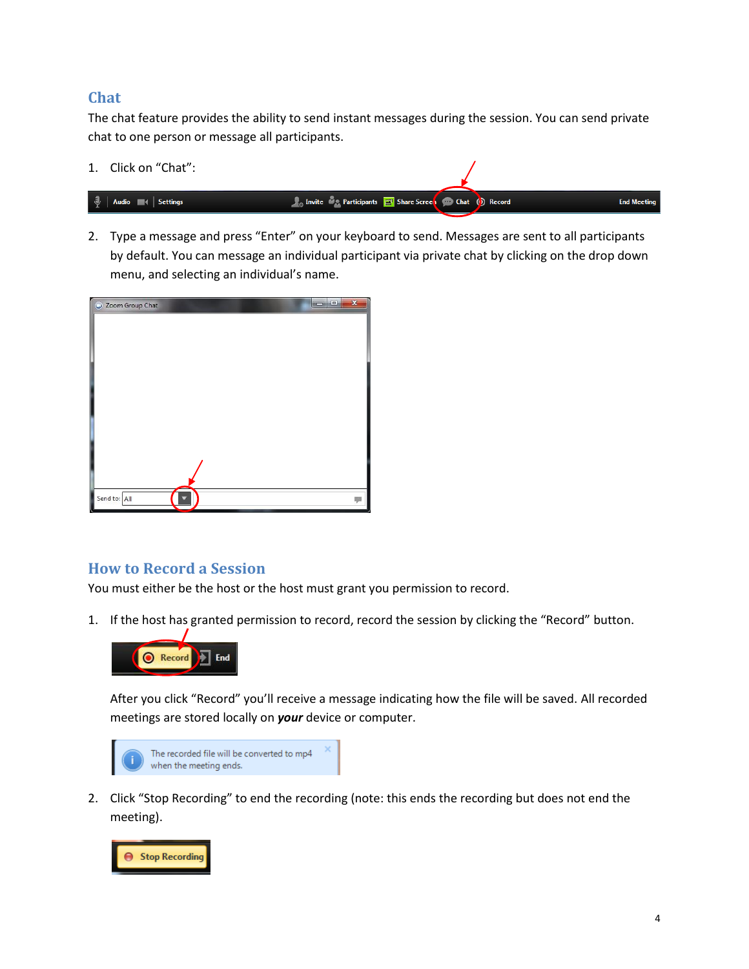### **Chat**

The chat feature provides the ability to send instant messages during the session. You can send private chat to one person or message all participants.

1. Click on "Chat":



2. Type a message and press "Enter" on your keyboard to send. Messages are sent to all participants by default. You can message an individual participant via private chat by clicking on the drop down menu, and selecting an individual's name.



### **How to Record a Session**

You must either be the host or the host must grant you permission to record.

1. If the host has granted permission to record, record the session by clicking the "Record" button.



After you click "Record" you'll receive a message indicating how the file will be saved. All recorded meetings are stored locally on *your* device or computer.



2. Click "Stop Recording" to end the recording (note: this ends the recording but does not end the meeting).

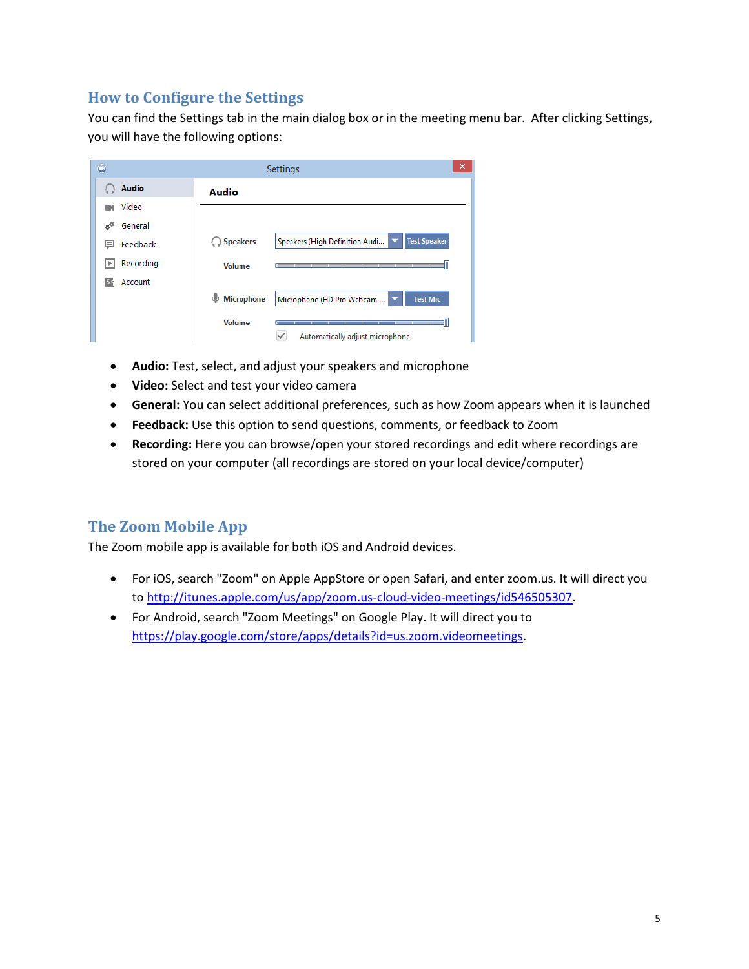# **How to Configure the Settings**

You can find the Settings tab in the main dialog box or in the meeting menu bar. After clicking Settings, you will have the following options:

| $\Box$                    | ×<br>Settings          |                                                       |  |
|---------------------------|------------------------|-------------------------------------------------------|--|
| <b>Audio</b>              | <b>Audio</b>           |                                                       |  |
| Video                     |                        |                                                       |  |
| General<br>o <sup>0</sup> |                        |                                                       |  |
| Feedback<br>$=$           | Speakers               | <b>Test Speaker</b><br>Speakers (High Definition Audi |  |
| Recording<br>∣⊧           | <b>Volume</b>          |                                                       |  |
| Account<br>54             |                        |                                                       |  |
|                           | ⋓<br><b>Microphone</b> | <b>Test Mic</b><br>Microphone (HD Pro Webcam          |  |
|                           | <b>Volume</b>          | Automatically adjust microphone                       |  |

- **Audio:** Test, select, and adjust your speakers and microphone
- **Video:** Select and test your video camera
- **General:** You can select additional preferences, such as how Zoom appears when it is launched
- **Feedback:** Use this option to send questions, comments, or feedback to Zoom
- **Recording:** Here you can browse/open your stored recordings and edit where recordings are stored on your computer (all recordings are stored on your local device/computer)

# **The Zoom Mobile App**

The Zoom mobile app is available for both iOS and Android devices.

- For iOS, search "Zoom" on Apple AppStore or open Safari, and enter zoom.us. It will direct you to [http://itunes.apple.com/us/app/zoom.us-cloud-video-meetings/id546505307.](http://itunes.apple.com/us/app/zoom.us-cloud-video-meetings/id546505307)
- For Android, search "Zoom Meetings" on Google Play. It will direct you to [https://play.google.com/store/apps/details?id=us.zoom.videomeetings.](https://play.google.com/store/apps/details?id=us.zoom.videomeetings)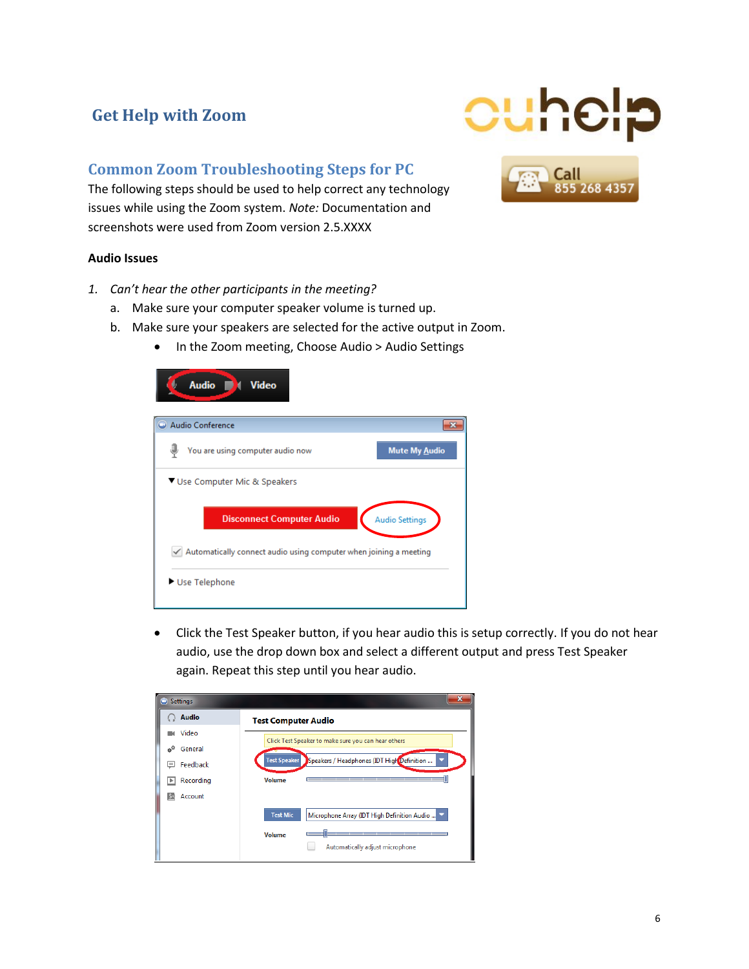# **Get Help with Zoom**

## **Common Zoom Troubleshooting Steps for PC**

The following steps should be used to help correct any technology issues while using the Zoom system. *Note:* Documentation and screenshots were used from Zoom version 2.5.XXXX

#### **Audio Issues**

- *1. Can't hear the other participants in the meeting?*
	- a. Make sure your computer speaker volume is turned up.
	- b. Make sure your speakers are selected for the active output in Zoom.
		- In the Zoom meeting, Choose Audio > Audio Settings



 Click the Test Speaker button, if you hear audio this is setup correctly. If you do not hear audio, use the drop down box and select a different output and press Test Speaker again. Repeat this step until you hear audio.

| Settings<br>۰    | x                                                                 |
|------------------|-------------------------------------------------------------------|
| <b>Audio</b>     | <b>Test Computer Audio</b>                                        |
| Video            | Click Test Speaker to make sure you can hear others               |
| General<br>$o^0$ |                                                                   |
| Feedback<br>$=$  | <b>Test Speaker</b><br>Speakers / Headphones (IDT High Definition |
| Recording<br>Þ   | <b>Volume</b><br>________<br>_____                                |
| Account<br>55    |                                                                   |
|                  | <b>Test Mic</b><br>Microphone Array (IDT High Definition Audio    |
|                  | <b>Volume</b>                                                     |
|                  | Automatically adjust microphone                                   |



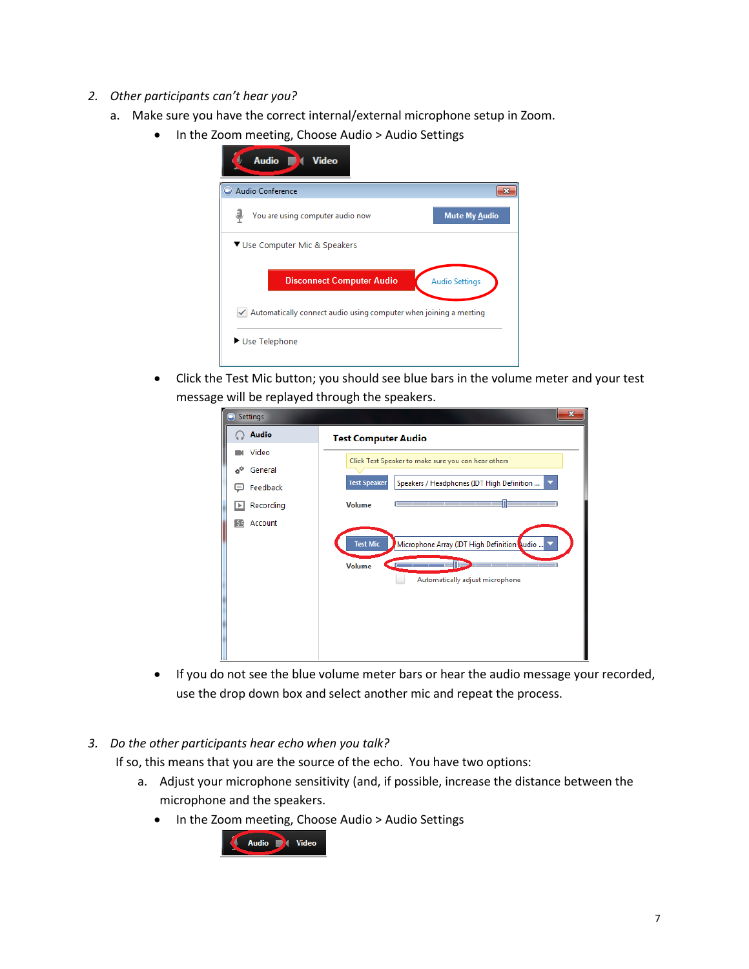- *2. Other participants can't hear you?*
	- a. Make sure you have the correct internal/external microphone setup in Zoom.
		- In the Zoom meeting, Choose Audio > Audio Settings

| Audio Conference                                                  |                                  |                       |
|-------------------------------------------------------------------|----------------------------------|-----------------------|
| You are using computer audio now                                  |                                  | <b>Mute My Audio</b>  |
|                                                                   |                                  |                       |
| ▼ Use Computer Mic & Speakers                                     |                                  |                       |
|                                                                   |                                  |                       |
|                                                                   | <b>Disconnect Computer Audio</b> | <b>Audio Settings</b> |
| Automatically connect audio using computer when joining a meeting |                                  |                       |

 Click the Test Mic button; you should see blue bars in the volume meter and your test message will be replayed through the speakers.

| Settings            | $\mathbf{x}$                                                                                                                         |
|---------------------|--------------------------------------------------------------------------------------------------------------------------------------|
| <b>Audio</b>        | <b>Test Computer Audio</b>                                                                                                           |
| Video               | Click Test Speaker to make sure you can hear others                                                                                  |
| $\phi^0$<br>General |                                                                                                                                      |
| Feedback            | <b>Test Speaker</b><br>Speakers / Headphones (IDT High Definition<br>▼                                                               |
| Recording           | <b>Volume</b><br>________                                                                                                            |
| Account<br>55       | <b>Test Mic</b><br>Microphone Array (IDT High Definition Nudio<br>$\blacksquare$<br><b>Volume</b><br>Automatically adjust microphone |

- If you do not see the blue volume meter bars or hear the audio message your recorded, use the drop down box and select another mic and repeat the process.
- *3. Do the other participants hear echo when you talk?*

If so, this means that you are the source of the echo. You have two options:

- a. Adjust your microphone sensitivity (and, if possible, increase the distance between the microphone and the speakers.
	- In the Zoom meeting, Choose Audio > Audio Settings